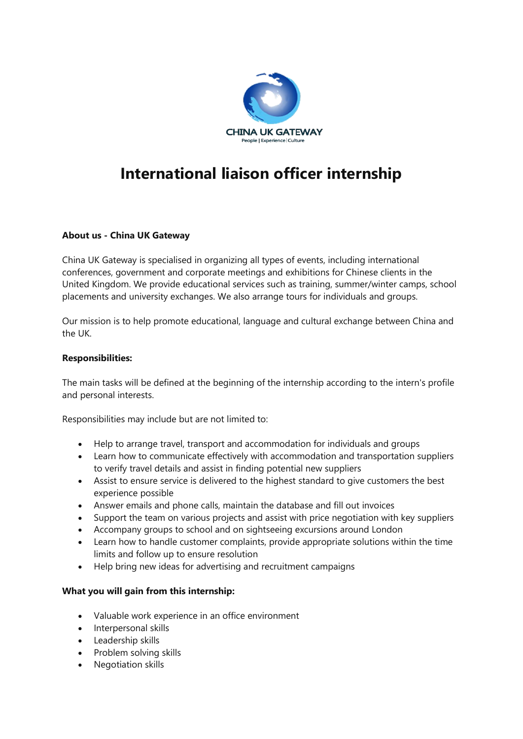

# **International liaison officer internship**

### **About us - China UK Gateway**

China UK Gateway is specialised in organizing all types of events, including international conferences, government and corporate meetings and exhibitions for Chinese clients in the United Kingdom. We provide educational services such as training, summer/winter camps, school placements and university exchanges. We also arrange tours for individuals and groups.

Our mission is to help promote educational, language and cultural exchange between China and the UK.

#### **Responsibilities:**

The main tasks will be defined at the beginning of the internship according to the intern's profile and personal interests.

Responsibilities may include but are not limited to:

- Help to arrange travel, transport and accommodation for individuals and groups
- Learn how to communicate effectively with accommodation and transportation suppliers to verify travel details and assist in finding potential new suppliers
- Assist to ensure service is delivered to the highest standard to give customers the best experience possible
- Answer emails and phone calls, maintain the database and fill out invoices
- Support the team on various projects and assist with price negotiation with key suppliers
- Accompany groups to school and on sightseeing excursions around London
- Learn how to handle customer complaints, provide appropriate solutions within the time limits and follow up to ensure resolution
- Help bring new ideas for advertising and recruitment campaigns

#### **What you will gain from this internship:**

- Valuable work experience in an office environment
- Interpersonal skills
- Leadership skills
- Problem solving skills
- Negotiation skills